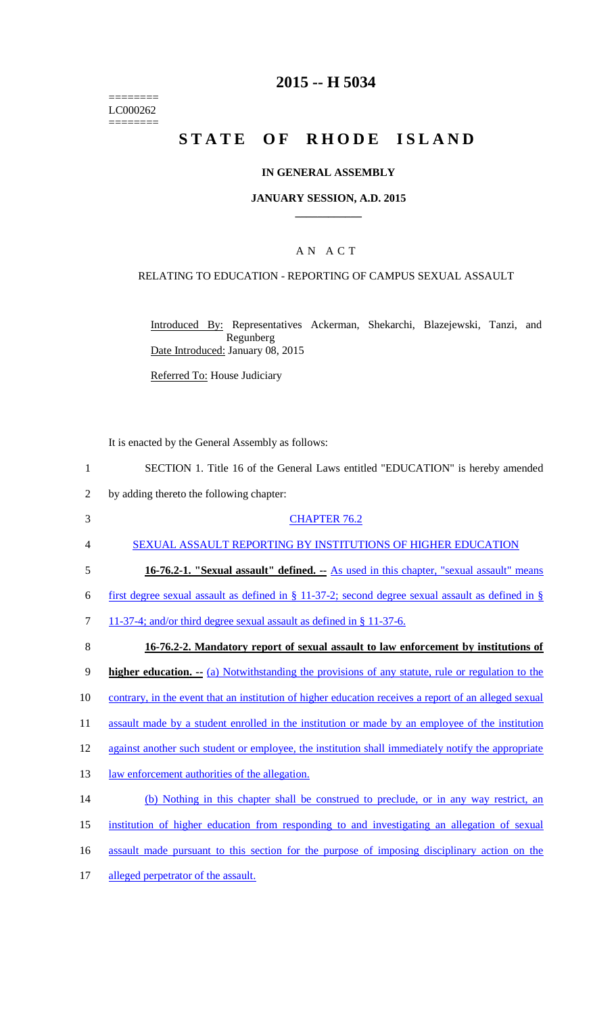======== LC000262 ========

## **2015 -- H 5034**

# STATE OF RHODE ISLAND

#### **IN GENERAL ASSEMBLY**

#### **JANUARY SESSION, A.D. 2015 \_\_\_\_\_\_\_\_\_\_\_\_**

### A N A C T

### RELATING TO EDUCATION - REPORTING OF CAMPUS SEXUAL ASSAULT

Introduced By: Representatives Ackerman, Shekarchi, Blazejewski, Tanzi, and Regunberg Date Introduced: January 08, 2015

Referred To: House Judiciary

It is enacted by the General Assembly as follows:

|  |  |  |  | SECTION 1. Title 16 of the General Laws entitled "EDUCATION" is hereby amended |  |
|--|--|--|--|--------------------------------------------------------------------------------|--|
|  |  |  |  |                                                                                |  |

- 2 by adding thereto the following chapter:
- 3 CHAPTER 76.2 4 SEXUAL ASSAULT REPORTING BY INSTITUTIONS OF HIGHER EDUCATION 5 **16-76.2-1. "Sexual assault" defined. --** As used in this chapter, "sexual assault" means 6 first degree sexual assault as defined in  $\S$  11-37-2; second degree sexual assault as defined in  $\S$ 7 11-37-4; and/or third degree sexual assault as defined in § 11-37-6. 8 **16-76.2-2. Mandatory report of sexual assault to law enforcement by institutions of**  9 **higher education. --** (a) Notwithstanding the provisions of any statute, rule or regulation to the 10 contrary, in the event that an institution of higher education receives a report of an alleged sexual 11 assault made by a student enrolled in the institution or made by an employee of the institution 12 against another such student or employee, the institution shall immediately notify the appropriate 13 law enforcement authorities of the allegation. 14 (b) Nothing in this chapter shall be construed to preclude, or in any way restrict, an 15 institution of higher education from responding to and investigating an allegation of sexual 16 assault made pursuant to this section for the purpose of imposing disciplinary action on the
- 17 alleged perpetrator of the assault.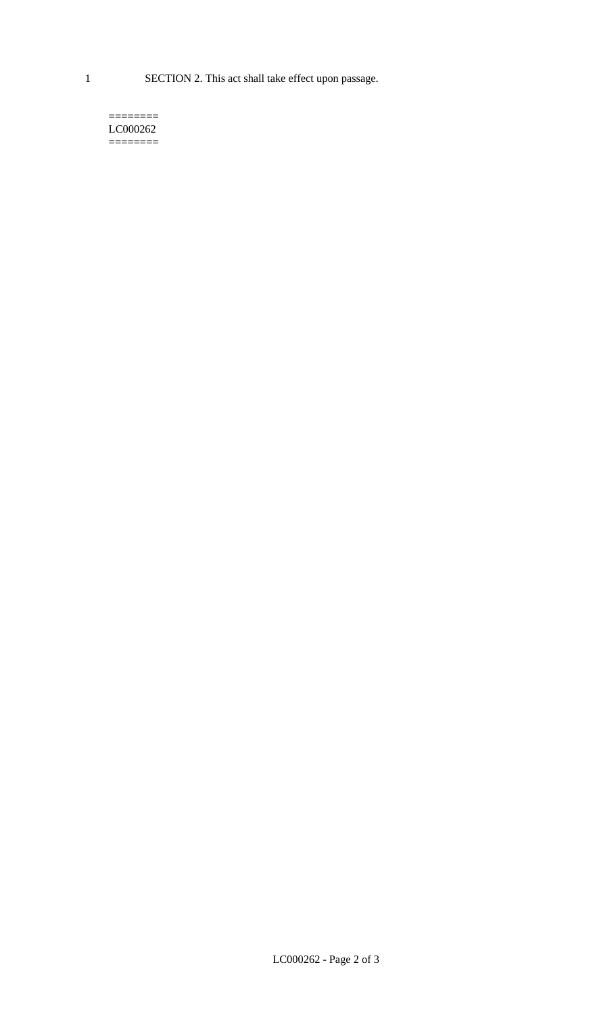1 SECTION 2. This act shall take effect upon passage.

#### $=$ LC000262 ========